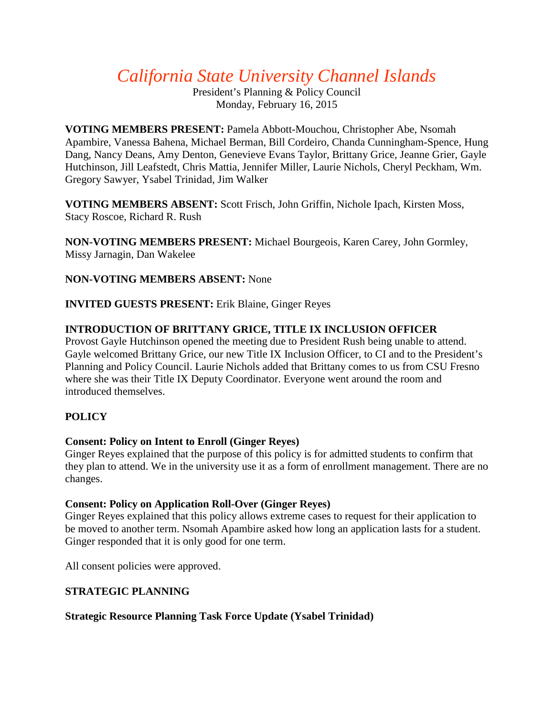# *California State University Channel Islands*

President's Planning & Policy Council Monday, February 16, 2015

**VOTING MEMBERS PRESENT:** Pamela Abbott-Mouchou, Christopher Abe, Nsomah Apambire, Vanessa Bahena, Michael Berman, Bill Cordeiro, Chanda Cunningham-Spence, Hung Dang, Nancy Deans, Amy Denton, Genevieve Evans Taylor, Brittany Grice, Jeanne Grier, Gayle Hutchinson, Jill Leafstedt, Chris Mattia, Jennifer Miller, Laurie Nichols, Cheryl Peckham, Wm. Gregory Sawyer, Ysabel Trinidad, Jim Walker

**VOTING MEMBERS ABSENT:** Scott Frisch, John Griffin, Nichole Ipach, Kirsten Moss, Stacy Roscoe, Richard R. Rush

**NON-VOTING MEMBERS PRESENT:** Michael Bourgeois, Karen Carey, John Gormley, Missy Jarnagin, Dan Wakelee

## **NON-VOTING MEMBERS ABSENT:** None

**INVITED GUESTS PRESENT:** Erik Blaine, Ginger Reyes

## **INTRODUCTION OF BRITTANY GRICE, TITLE IX INCLUSION OFFICER**

Provost Gayle Hutchinson opened the meeting due to President Rush being unable to attend. Gayle welcomed Brittany Grice, our new Title IX Inclusion Officer, to CI and to the President's Planning and Policy Council. Laurie Nichols added that Brittany comes to us from CSU Fresno where she was their Title IX Deputy Coordinator. Everyone went around the room and introduced themselves.

## **POLICY**

#### **Consent: Policy on Intent to Enroll (Ginger Reyes)**

Ginger Reyes explained that the purpose of this policy is for admitted students to confirm that they plan to attend. We in the university use it as a form of enrollment management. There are no changes.

#### **Consent: Policy on Application Roll-Over (Ginger Reyes)**

Ginger Reyes explained that this policy allows extreme cases to request for their application to be moved to another term. Nsomah Apambire asked how long an application lasts for a student. Ginger responded that it is only good for one term.

All consent policies were approved.

## **STRATEGIC PLANNING**

#### **Strategic Resource Planning Task Force Update (Ysabel Trinidad)**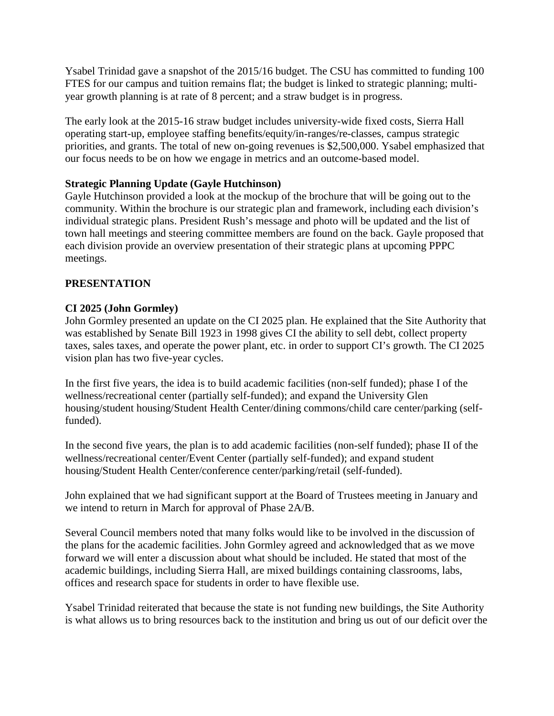Ysabel Trinidad gave a snapshot of the 2015/16 budget. The CSU has committed to funding 100 FTES for our campus and tuition remains flat; the budget is linked to strategic planning; multiyear growth planning is at rate of 8 percent; and a straw budget is in progress.

The early look at the 2015-16 straw budget includes university-wide fixed costs, Sierra Hall operating start-up, employee staffing benefits/equity/in-ranges/re-classes, campus strategic priorities, and grants. The total of new on-going revenues is \$2,500,000. Ysabel emphasized that our focus needs to be on how we engage in metrics and an outcome-based model.

## **Strategic Planning Update (Gayle Hutchinson)**

Gayle Hutchinson provided a look at the mockup of the brochure that will be going out to the community. Within the brochure is our strategic plan and framework, including each division's individual strategic plans. President Rush's message and photo will be updated and the list of town hall meetings and steering committee members are found on the back. Gayle proposed that each division provide an overview presentation of their strategic plans at upcoming PPPC meetings.

## **PRESENTATION**

## **CI 2025 (John Gormley)**

John Gormley presented an update on the CI 2025 plan. He explained that the Site Authority that was established by Senate Bill 1923 in 1998 gives CI the ability to sell debt, collect property taxes, sales taxes, and operate the power plant, etc. in order to support CI's growth. The CI 2025 vision plan has two five-year cycles.

In the first five years, the idea is to build academic facilities (non-self funded); phase I of the wellness/recreational center (partially self-funded); and expand the University Glen housing/student housing/Student Health Center/dining commons/child care center/parking (selffunded).

In the second five years, the plan is to add academic facilities (non-self funded); phase II of the wellness/recreational center/Event Center (partially self-funded); and expand student housing/Student Health Center/conference center/parking/retail (self-funded).

John explained that we had significant support at the Board of Trustees meeting in January and we intend to return in March for approval of Phase 2A/B.

Several Council members noted that many folks would like to be involved in the discussion of the plans for the academic facilities. John Gormley agreed and acknowledged that as we move forward we will enter a discussion about what should be included. He stated that most of the academic buildings, including Sierra Hall, are mixed buildings containing classrooms, labs, offices and research space for students in order to have flexible use.

Ysabel Trinidad reiterated that because the state is not funding new buildings, the Site Authority is what allows us to bring resources back to the institution and bring us out of our deficit over the